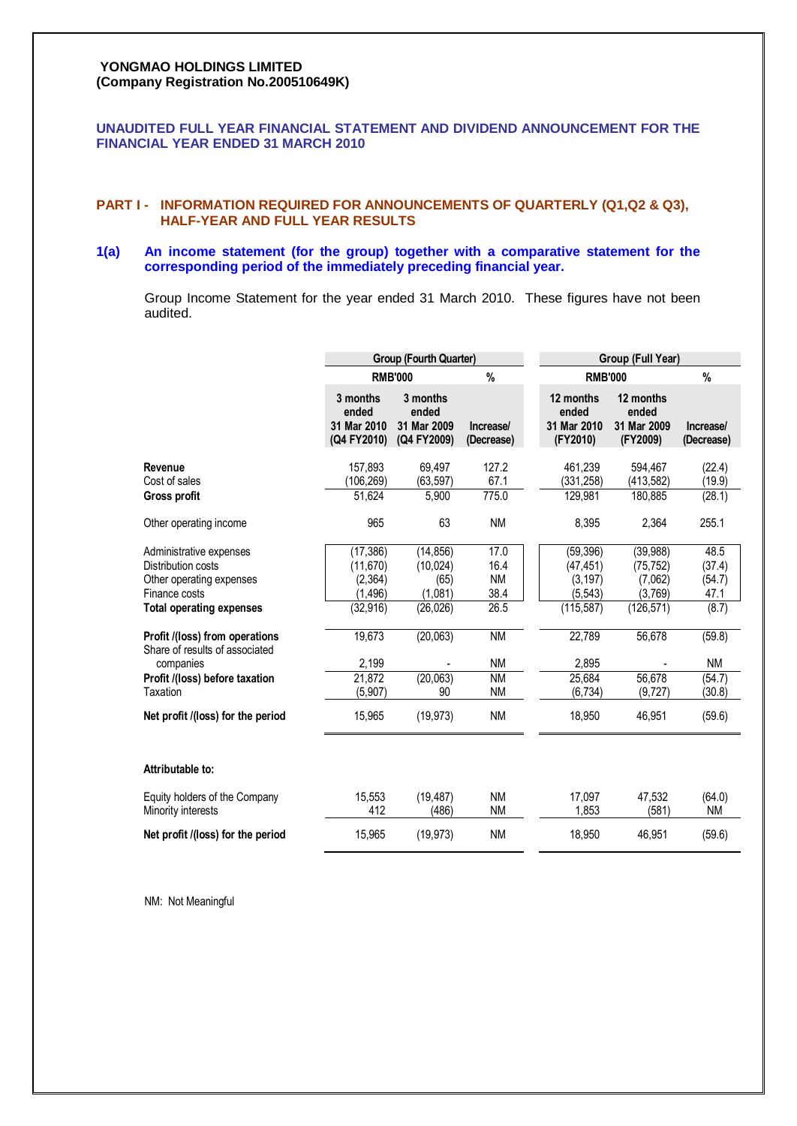## **YONGMAO HOLDINGS LIMITED (Company Registration No.200510649K)**

## **UNAUDITED FULL YEAR FINANCIAL STATEMENT AND DIVIDEND ANNOUNCEMENT FOR THE FINANCIAL YEAR ENDED 31 MARCH 2010**

## **PART I - INFORMATION REQUIRED FOR ANNOUNCEMENTS OF QUARTERLY (Q1,Q2 & Q3), HALF-YEAR AND FULL YEAR RESULTS**

## **1(a) An income statement (for the group) together with a comparative statement for the corresponding period of the immediately preceding financial year.**

Group Income Statement for the year ended 31 March 2010. These figures have not been audited.

|                                                                                                                                                                                                                | <b>Group (Fourth Quarter)</b>                                                  |                                                                    |                                                                     |  | Group (Full Year)                                                              |                                                                      |                                                                  |  |
|----------------------------------------------------------------------------------------------------------------------------------------------------------------------------------------------------------------|--------------------------------------------------------------------------------|--------------------------------------------------------------------|---------------------------------------------------------------------|--|--------------------------------------------------------------------------------|----------------------------------------------------------------------|------------------------------------------------------------------|--|
|                                                                                                                                                                                                                |                                                                                | <b>RMB'000</b>                                                     | $\%$                                                                |  | <b>RMB'000</b>                                                                 |                                                                      | $\%$                                                             |  |
|                                                                                                                                                                                                                | 3 months<br>ended<br>31 Mar 2010<br>(Q4 FY2010)                                | 3 months<br>ended<br>31 Mar 2009<br>(Q4 FY2009)                    | Increase/<br>(Decrease)                                             |  | 12 months<br>ended<br>31 Mar 2010<br>(FY2010)                                  | 12 months<br>ended<br>31 Mar 2009<br>(FY2009)                        | <b>Increase</b><br>(Decrease)                                    |  |
| Revenue<br>Cost of sales                                                                                                                                                                                       | 157,893<br>(106, 269)                                                          | 69,497<br>(63, 597)                                                | 127.2<br>67.1                                                       |  | 461,239<br>(331, 258)                                                          | 594,467<br>(413, 582)                                                | (22.4)<br>(19.9)                                                 |  |
| Gross profit                                                                                                                                                                                                   | 51,624                                                                         | 5,900                                                              | 775.0                                                               |  | 129,981                                                                        | 180,885                                                              | (28.1)                                                           |  |
| Other operating income                                                                                                                                                                                         | 965                                                                            | 63                                                                 | <b>NM</b>                                                           |  | 8,395                                                                          | 2,364                                                                | 255.1                                                            |  |
| Administrative expenses<br>Distribution costs<br>Other operating expenses<br>Finance costs<br><b>Total operating expenses</b><br>Profit /(loss) from operations<br>Share of results of associated<br>companies | (17, 386)<br>(11, 670)<br>(2, 364)<br>(1, 496)<br>(32, 916)<br>19,673<br>2,199 | (14, 856)<br>(10, 024)<br>(65)<br>(1,081)<br>(26, 026)<br>(20,063) | 17.0<br>16.4<br><b>NM</b><br>38.4<br>26.5<br><b>NM</b><br><b>NM</b> |  | (59, 396)<br>(47, 451)<br>(3, 197)<br>(5,543)<br>(115, 587)<br>22,789<br>2.895 | (39, 988)<br>(75, 752)<br>(7,062)<br>(3,769)<br>(126, 571)<br>56,678 | 48.5<br>(37.4)<br>(54.7)<br>47.1<br>(8.7)<br>(59.8)<br><b>NM</b> |  |
| Profit /(loss) before taxation<br>Taxation                                                                                                                                                                     | 21,872<br>(5,907)                                                              | (20,063)<br>90                                                     | <b>NM</b><br><b>NM</b>                                              |  | 25,684<br>(6, 734)                                                             | 56,678<br>(9,727)                                                    | (54.7)<br>(30.8)                                                 |  |
| Net profit /(loss) for the period                                                                                                                                                                              | 15,965                                                                         | (19, 973)                                                          | <b>NM</b>                                                           |  | 18,950                                                                         | 46,951                                                               | (59.6)                                                           |  |
| Attributable to:                                                                                                                                                                                               |                                                                                |                                                                    |                                                                     |  |                                                                                |                                                                      |                                                                  |  |
| Equity holders of the Company<br>Minority interests                                                                                                                                                            | 15,553<br>412                                                                  | (19, 487)<br>(486)                                                 | <b>NM</b><br><b>NM</b>                                              |  | 17,097<br>1,853                                                                | 47.532<br>(581)                                                      | (64.0)<br><b>NM</b>                                              |  |
| Net profit /(loss) for the period                                                                                                                                                                              | 15,965                                                                         | (19, 973)                                                          | <b>NM</b>                                                           |  | 18,950                                                                         | 46,951                                                               | (59.6)                                                           |  |

NM: Not Meaningful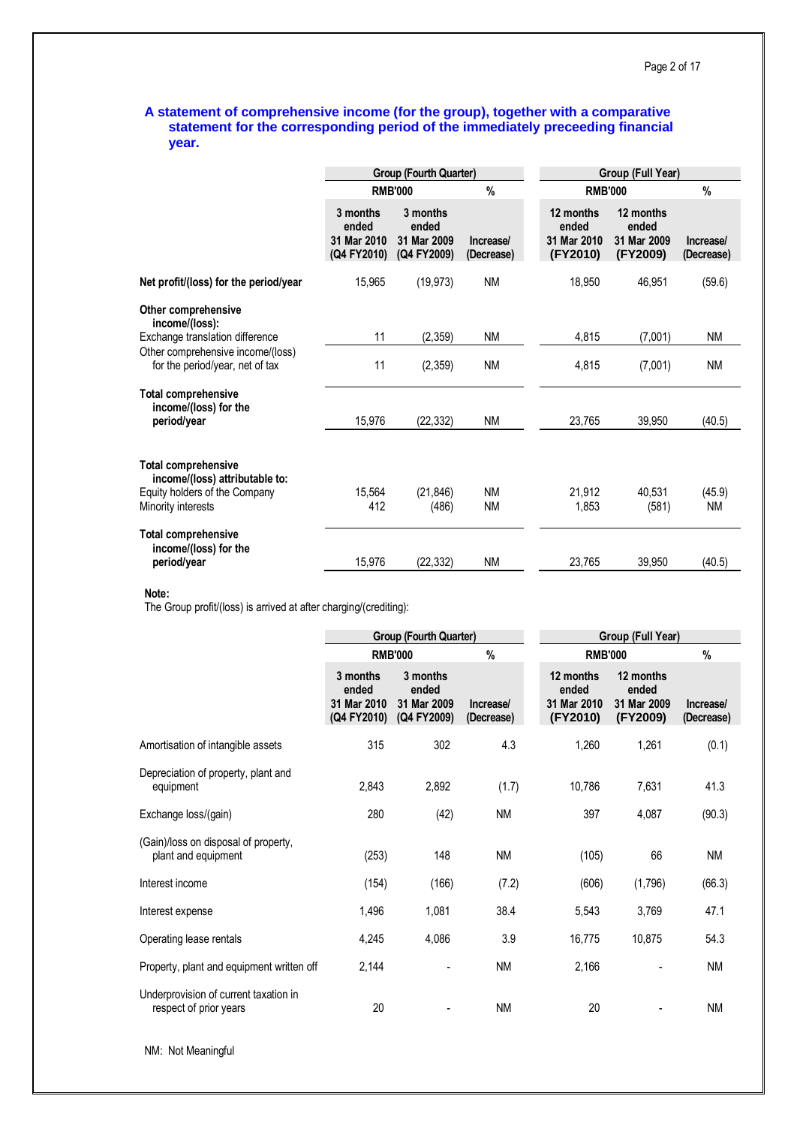## **A statement of comprehensive income (for the group), together with a comparative statement for the corresponding period of the immediately preceeding financial year.**

|                                                                                                                     |                                                 | Group (Fourth Quarter)                          |                         | Group (Full Year)                             |                                               |                         |  |
|---------------------------------------------------------------------------------------------------------------------|-------------------------------------------------|-------------------------------------------------|-------------------------|-----------------------------------------------|-----------------------------------------------|-------------------------|--|
|                                                                                                                     |                                                 | <b>RMB'000</b>                                  | %                       | <b>RMB'000</b>                                |                                               | $\%$                    |  |
|                                                                                                                     | 3 months<br>ended<br>31 Mar 2010<br>(Q4 FY2010) | 3 months<br>ended<br>31 Mar 2009<br>(Q4 FY2009) | Increase/<br>(Decrease) | 12 months<br>ended<br>31 Mar 2010<br>(FY2010) | 12 months<br>ended<br>31 Mar 2009<br>(FY2009) | Increase/<br>(Decrease) |  |
| Net profit/(loss) for the period/year                                                                               | 15,965                                          | (19, 973)                                       | <b>NM</b>               | 18,950                                        | 46,951                                        | (59.6)                  |  |
| Other comprehensive<br>income/(loss):                                                                               |                                                 |                                                 |                         |                                               |                                               |                         |  |
| Exchange translation difference                                                                                     | 11                                              | (2, 359)                                        | <b>NM</b>               | 4,815                                         | (7,001)                                       | ΝM                      |  |
| Other comprehensive income/(loss)<br>for the period/year, net of tax                                                | 11                                              | (2, 359)                                        | <b>NM</b>               | 4,815                                         | (7,001)                                       | <b>NM</b>               |  |
| <b>Total comprehensive</b><br>income/(loss) for the<br>period/year                                                  | 15,976                                          | (22, 332)                                       | <b>NM</b>               | 23,765                                        | 39,950                                        | (40.5)                  |  |
| <b>Total comprehensive</b><br>income/(loss) attributable to:<br>Equity holders of the Company<br>Minority interests | 15,564<br>412                                   | (21, 846)<br>(486)                              | <b>NM</b><br><b>NM</b>  | 21,912<br>1,853                               | 40,531<br>(581)                               | (45.9)<br><b>NM</b>     |  |
| <b>Total comprehensive</b><br>income/(loss) for the<br>period/year                                                  | 15,976                                          | (22, 332)                                       | <b>NM</b>               | 23,765                                        | 39,950                                        | (40.5)                  |  |

**Note:**

The Group profit/(loss) is arrived at after charging/(crediting):

|                                                                 |                                                 | <b>Group (Fourth Quarter)</b>                   |                         | Group (Full Year)                             |                                               |                         |  |
|-----------------------------------------------------------------|-------------------------------------------------|-------------------------------------------------|-------------------------|-----------------------------------------------|-----------------------------------------------|-------------------------|--|
|                                                                 |                                                 | <b>RMB'000</b>                                  | %                       |                                               | <b>RMB'000</b>                                |                         |  |
|                                                                 | 3 months<br>ended<br>31 Mar 2010<br>(Q4 FY2010) | 3 months<br>ended<br>31 Mar 2009<br>(Q4 FY2009) | Increase/<br>(Decrease) | 12 months<br>ended<br>31 Mar 2010<br>(FY2010) | 12 months<br>ended<br>31 Mar 2009<br>(FY2009) | Increase/<br>(Decrease) |  |
| Amortisation of intangible assets                               | 315                                             | 302                                             | 4.3                     | 1,260                                         | 1,261                                         | (0.1)                   |  |
| Depreciation of property, plant and<br>equipment                | 2,843                                           | 2,892                                           | (1.7)                   | 10,786                                        | 7,631                                         | 41.3                    |  |
| Exchange loss/(gain)                                            | 280                                             | (42)                                            | <b>NM</b>               | 397                                           | 4,087                                         | (90.3)                  |  |
| (Gain)/loss on disposal of property,<br>plant and equipment     | (253)                                           | 148                                             | <b>NM</b>               | (105)                                         | 66                                            | <b>NM</b>               |  |
| Interest income                                                 | (154)                                           | (166)                                           | (7.2)                   | (606)                                         | (1,796)                                       | (66.3)                  |  |
| Interest expense                                                | 1,496                                           | 1,081                                           | 38.4                    | 5,543                                         | 3,769                                         | 47.1                    |  |
| Operating lease rentals                                         | 4,245                                           | 4,086                                           | 3.9                     | 16,775                                        | 10,875                                        | 54.3                    |  |
| Property, plant and equipment written off                       | 2,144                                           | $\overline{\phantom{a}}$                        | <b>NM</b>               | 2,166                                         |                                               | <b>NM</b>               |  |
| Underprovision of current taxation in<br>respect of prior years | 20                                              |                                                 | <b>NM</b>               | 20                                            |                                               | <b>NM</b>               |  |

NM: Not Meaningful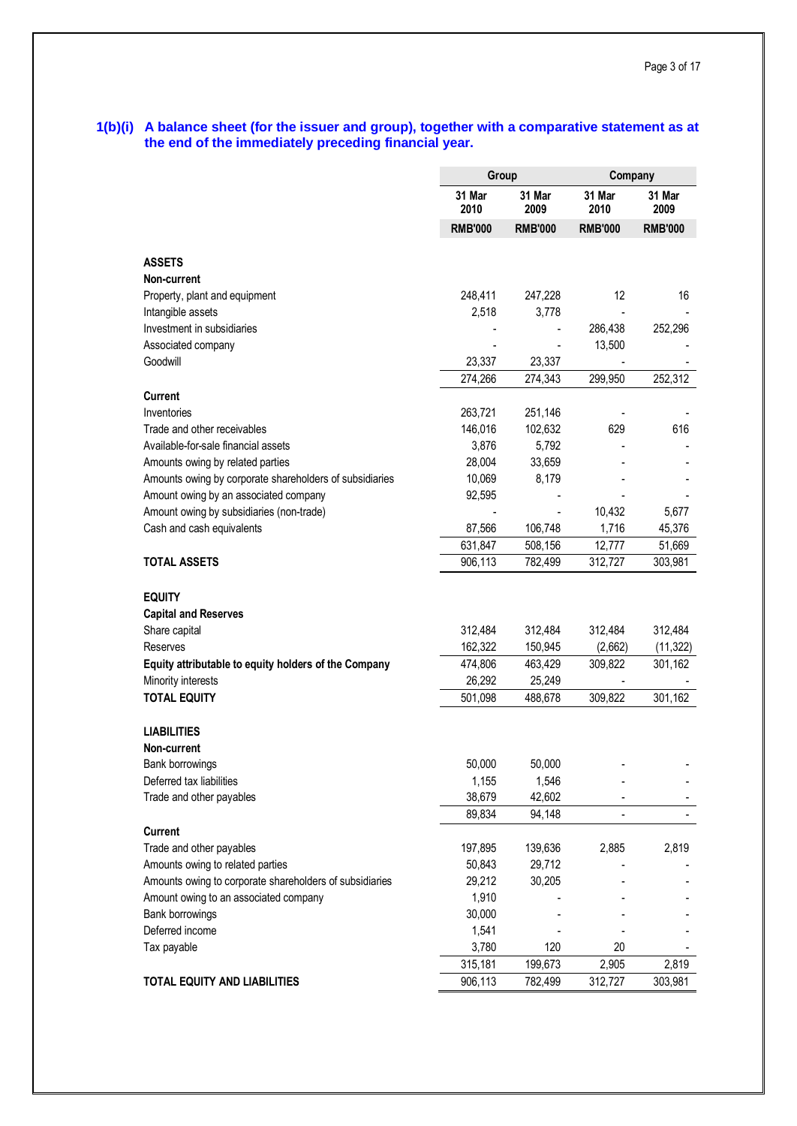## **1(b)(i) A balance sheet (for the issuer and group), together with a comparative statement as at the end of the immediately preceding financial year.**

|                                                                                             | Group              |                 | Company                  |                |
|---------------------------------------------------------------------------------------------|--------------------|-----------------|--------------------------|----------------|
|                                                                                             | 31 Mar<br>2010     | 31 Mar<br>2009  | 31 Mar<br>2010           | 31 Mar<br>2009 |
|                                                                                             | <b>RMB'000</b>     | <b>RMB'000</b>  | <b>RMB'000</b>           | <b>RMB'000</b> |
|                                                                                             |                    |                 |                          |                |
| <b>ASSETS</b>                                                                               |                    |                 |                          |                |
| Non-current                                                                                 |                    |                 |                          |                |
| Property, plant and equipment                                                               | 248,411            | 247,228         | 12                       | 16             |
| Intangible assets                                                                           | 2,518              | 3,778           |                          |                |
| Investment in subsidiaries                                                                  |                    |                 | 286,438                  | 252,296        |
| Associated company                                                                          |                    |                 | 13,500                   |                |
| Goodwill                                                                                    | 23,337             | 23,337          | $\overline{\phantom{a}}$ |                |
|                                                                                             | 274,266            | 274,343         | 299,950                  | 252,312        |
| Current                                                                                     |                    |                 |                          |                |
| Inventories<br>Trade and other receivables                                                  | 263,721<br>146,016 | 251,146         |                          |                |
|                                                                                             |                    | 102,632         | 629                      | 616            |
| Available-for-sale financial assets                                                         | 3,876<br>28,004    | 5,792<br>33,659 |                          |                |
| Amounts owing by related parties<br>Amounts owing by corporate shareholders of subsidiaries | 10,069             | 8,179           |                          |                |
| Amount owing by an associated company                                                       | 92,595             |                 |                          |                |
| Amount owing by subsidiaries (non-trade)                                                    |                    |                 | 10,432                   | 5,677          |
| Cash and cash equivalents                                                                   | 87,566             | 106,748         | 1,716                    | 45,376         |
|                                                                                             | 631,847            | 508,156         | 12,777                   | 51,669         |
| <b>TOTAL ASSETS</b>                                                                         | 906,113            | 782,499         | 312,727                  | 303,981        |
| <b>EQUITY</b><br><b>Capital and Reserves</b>                                                |                    |                 |                          |                |
| Share capital                                                                               | 312,484            | 312,484         | 312,484                  | 312,484        |
| Reserves                                                                                    | 162,322            | 150,945         | (2,662)                  | (11, 322)      |
| Equity attributable to equity holders of the Company                                        | 474,806            | 463,429         | 309,822                  | 301,162        |
| Minority interests                                                                          | 26,292             | 25,249          |                          |                |
| <b>TOTAL EQUITY</b>                                                                         | 501,098            | 488,678         | 309,822                  | 301,162        |
| LIABILITIES<br>Non-current                                                                  |                    |                 |                          |                |
| Bank borrowings                                                                             | 50,000             | 50,000          |                          |                |
| Deferred tax liabilities                                                                    | 1,155              | 1,546           |                          |                |
| Trade and other payables                                                                    | 38,679             | 42,602          |                          |                |
|                                                                                             | 89,834             | 94,148          |                          |                |
| <b>Current</b>                                                                              |                    |                 |                          |                |
| Trade and other payables                                                                    | 197,895            | 139,636         | 2,885                    | 2,819          |
| Amounts owing to related parties                                                            | 50,843             | 29,712          |                          |                |
| Amounts owing to corporate shareholders of subsidiaries                                     | 29,212             | 30,205          |                          |                |
| Amount owing to an associated company                                                       | 1,910              |                 |                          |                |
| Bank borrowings                                                                             | 30,000             |                 |                          |                |
| Deferred income                                                                             | 1,541              |                 |                          |                |
| Tax payable                                                                                 | 3,780              | 120             | 20                       |                |
|                                                                                             | 315,181            | 199,673         | 2,905                    | 2,819          |
| <b>TOTAL EQUITY AND LIABILITIES</b>                                                         | 906,113            | 782,499         | 312,727                  | 303,981        |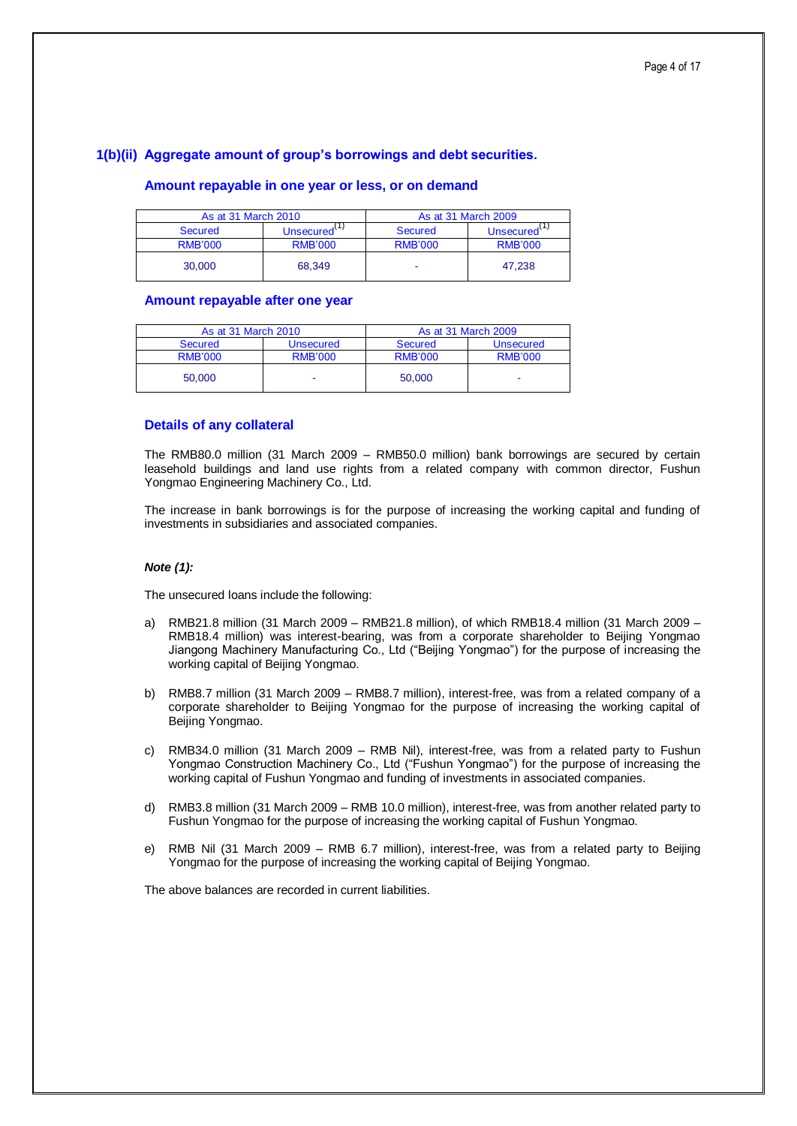## **1(b)(ii) Aggregate amount of group's borrowings and debt securities.**

## **Amount repayable in one year or less, or on demand**

| As at 31 March 2010 |                | As at 31 March 2009 |                |  |  |
|---------------------|----------------|---------------------|----------------|--|--|
| <b>Secured</b>      | Unsecured      | <b>Secured</b>      | Unsecured      |  |  |
| <b>RMB'000</b>      | <b>RMB'000</b> | <b>RMB'000</b>      | <b>RMB'000</b> |  |  |
| 30.000              | 68.349         | -                   | 47.238         |  |  |

## **Amount repayable after one year**

| As at 31 March 2010 |                  | As at 31 March 2009 |                  |  |  |
|---------------------|------------------|---------------------|------------------|--|--|
| <b>Secured</b>      | <b>Unsecured</b> | <b>Secured</b>      | <b>Unsecured</b> |  |  |
| <b>RMB'000</b>      | <b>RMB'000</b>   | <b>RMB'000</b>      | <b>RMB'000</b>   |  |  |
| 50.000              | -                | 50,000              | -                |  |  |

## **Details of any collateral**

The RMB80.0 million (31 March 2009 – RMB50.0 million) bank borrowings are secured by certain leasehold buildings and land use rights from a related company with common director, Fushun Yongmao Engineering Machinery Co., Ltd.

The increase in bank borrowings is for the purpose of increasing the working capital and funding of investments in subsidiaries and associated companies.

## *Note (1):*

The unsecured loans include the following:

- a) RMB21.8 million (31 March 2009 RMB21.8 million), of which RMB18.4 million (31 March 2009 RMB18.4 million) was interest-bearing, was from a corporate shareholder to Beijing Yongmao Jiangong Machinery Manufacturing Co., Ltd ("Beijing Yongmao") for the purpose of increasing the working capital of Beijing Yongmao.
- b) RMB8.7 million (31 March 2009 RMB8.7 million), interest-free, was from a related company of a corporate shareholder to Beijing Yongmao for the purpose of increasing the working capital of Beijing Yongmao.
- c) RMB34.0 million (31 March 2009 RMB Nil), interest-free, was from a related party to Fushun Yongmao Construction Machinery Co., Ltd ("Fushun Yongmao") for the purpose of increasing the working capital of Fushun Yongmao and funding of investments in associated companies.
- d) RMB3.8 million (31 March 2009 RMB 10.0 million), interest-free, was from another related party to Fushun Yongmao for the purpose of increasing the working capital of Fushun Yongmao.
- e) RMB Nil (31 March 2009 RMB 6.7 million), interest-free, was from a related party to Beijing Yongmao for the purpose of increasing the working capital of Beijing Yongmao.

The above balances are recorded in current liabilities.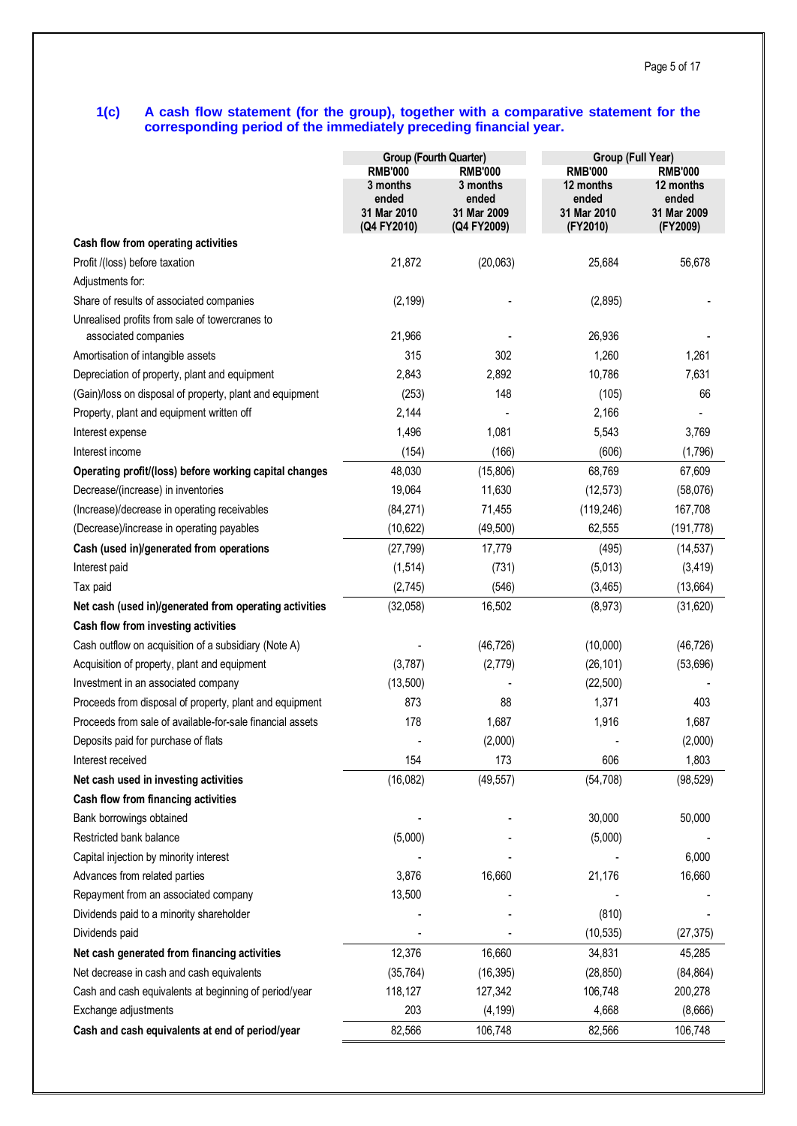## **1(c) A cash flow statement (for the group), together with a comparative statement for the corresponding period of the immediately preceding financial year.**

|                                                           | Group (Fourth Quarter) |                   | Group (Full Year)  |                    |
|-----------------------------------------------------------|------------------------|-------------------|--------------------|--------------------|
|                                                           | <b>RMB'000</b>         | <b>RMB'000</b>    | <b>RMB'000</b>     | <b>RMB'000</b>     |
|                                                           | 3 months<br>ended      | 3 months<br>ended | 12 months<br>ended | 12 months<br>ended |
|                                                           | 31 Mar 2010            | 31 Mar 2009       | 31 Mar 2010        | 31 Mar 2009        |
| Cash flow from operating activities                       | (Q4 FY2010)            | (Q4 FY2009)       | (FY2010)           | (FY2009)           |
| Profit /(loss) before taxation                            | 21,872                 | (20,063)          | 25,684             | 56,678             |
| Adjustments for:                                          |                        |                   |                    |                    |
| Share of results of associated companies                  | (2, 199)               |                   | (2,895)            |                    |
| Unrealised profits from sale of towercranes to            |                        |                   |                    |                    |
| associated companies                                      | 21,966                 |                   | 26,936             |                    |
| Amortisation of intangible assets                         | 315                    | 302               | 1,260              | 1,261              |
| Depreciation of property, plant and equipment             | 2,843                  | 2,892             | 10,786             | 7,631              |
| (Gain)/loss on disposal of property, plant and equipment  | (253)                  | 148               | (105)              | 66                 |
| Property, plant and equipment written off                 | 2,144                  |                   | 2,166              |                    |
| Interest expense                                          | 1,496                  | 1,081             | 5,543              | 3,769              |
| Interest income                                           | (154)                  | (166)             | (606)              | (1,796)            |
| Operating profit/(loss) before working capital changes    | 48,030                 | (15,806)          | 68,769             | 67,609             |
| Decrease/(increase) in inventories                        | 19,064                 | 11,630            | (12, 573)          | (58,076)           |
| (Increase)/decrease in operating receivables              | (84, 271)              | 71,455            | (119, 246)         | 167,708            |
| (Decrease)/increase in operating payables                 | (10, 622)              | (49, 500)         | 62,555             | (191, 778)         |
| Cash (used in)/generated from operations                  | (27, 799)              | 17,779            | (495)              | (14, 537)          |
| Interest paid                                             | (1, 514)               | (731)             | (5,013)            | (3, 419)           |
| Tax paid                                                  | (2,745)                | (546)             | (3, 465)           | (13, 664)          |
| Net cash (used in)/generated from operating activities    | (32,058)               | 16,502            | (8,973)            | (31, 620)          |
| Cash flow from investing activities                       |                        |                   |                    |                    |
| Cash outflow on acquisition of a subsidiary (Note A)      |                        | (46, 726)         | (10,000)           | (46, 726)          |
| Acquisition of property, plant and equipment              | (3,787)                | (2,779)           | (26, 101)          | (53, 696)          |
| Investment in an associated company                       | (13,500)               |                   | (22, 500)          |                    |
| Proceeds from disposal of property, plant and equipment   | 873                    | 88                | 1,371              | 403                |
| Proceeds from sale of available-for-sale financial assets | 178                    | 1,687             | 1,916              | 1,687              |
| Deposits paid for purchase of flats                       |                        | (2,000)           |                    | (2,000)            |
| Interest received                                         | 154                    | 173               | 606                | 1,803              |
| Net cash used in investing activities                     | (16,082)               | (49, 557)         | (54, 708)          | (98, 529)          |
| Cash flow from financing activities                       |                        |                   |                    |                    |
| Bank borrowings obtained                                  |                        |                   | 30,000             | 50,000             |
| Restricted bank balance                                   | (5,000)                |                   | (5,000)            |                    |
| Capital injection by minority interest                    |                        |                   |                    | 6,000              |
| Advances from related parties                             | 3,876                  | 16,660            | 21,176             | 16,660             |
| Repayment from an associated company                      | 13,500                 |                   |                    |                    |
| Dividends paid to a minority shareholder                  |                        |                   | (810)              |                    |
| Dividends paid                                            |                        |                   | (10, 535)          | (27, 375)          |
| Net cash generated from financing activities              | 12,376                 | 16,660            | 34,831             | 45,285             |
| Net decrease in cash and cash equivalents                 | (35, 764)              | (16, 395)         | (28, 850)          | (84, 864)          |
| Cash and cash equivalents at beginning of period/year     | 118,127                | 127,342           | 106,748            | 200,278            |
| Exchange adjustments                                      | 203                    | (4, 199)          | 4,668              | (8,666)            |
| Cash and cash equivalents at end of period/year           | 82,566                 | 106,748           | 82,566             | 106,748            |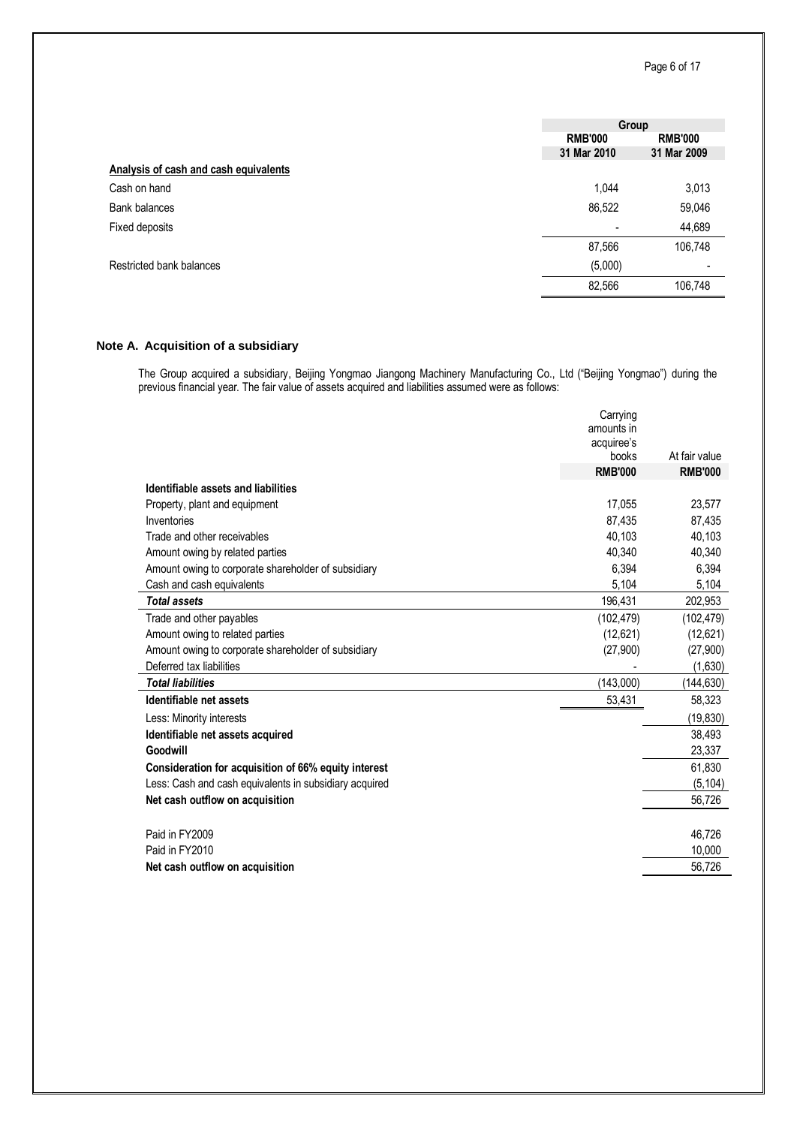|                                       |                          | Group          |
|---------------------------------------|--------------------------|----------------|
|                                       | <b>RMB'000</b>           | <b>RMB'000</b> |
|                                       | 31 Mar 2010              | 31 Mar 2009    |
| Analysis of cash and cash equivalents |                          |                |
| Cash on hand                          | 1,044                    | 3,013          |
| Bank balances                         | 86,522                   | 59,046         |
| Fixed deposits                        | $\overline{\phantom{a}}$ | 44,689         |
|                                       | 87,566                   | 106,748        |
| Restricted bank balances              | (5,000)                  |                |
|                                       | 82,566                   | 106,748        |

## **Note A. Acquisition of a subsidiary**

The Group acquired a subsidiary, Beijing Yongmao Jiangong Machinery Manufacturing Co., Ltd ("Beijing Yongmao") during the previous financial year. The fair value of assets acquired and liabilities assumed were as follows:

|                                                        | Carrying<br>amounts in |                |
|--------------------------------------------------------|------------------------|----------------|
|                                                        | acquiree's             |                |
|                                                        | books                  | At fair value  |
|                                                        | <b>RMB'000</b>         | <b>RMB'000</b> |
| Identifiable assets and liabilities                    |                        |                |
| Property, plant and equipment                          | 17.055                 | 23,577         |
| Inventories                                            | 87,435                 | 87,435         |
| Trade and other receivables                            | 40,103                 | 40,103         |
| Amount owing by related parties                        | 40.340                 | 40,340         |
| Amount owing to corporate shareholder of subsidiary    | 6,394                  | 6,394          |
| Cash and cash equivalents                              | 5,104                  | 5,104          |
| <b>Total assets</b>                                    | 196,431                | 202,953        |
| Trade and other payables                               | (102, 479)             | (102, 479)     |
| Amount owing to related parties                        | (12,621)               | (12,621)       |
| Amount owing to corporate shareholder of subsidiary    | (27,900)               | (27,900)       |
| Deferred tax liabilities                               |                        | (1,630)        |
| <b>Total liabilities</b>                               | (143,000)              | (144, 630)     |
| Identifiable net assets                                | 53,431                 | 58,323         |
| Less: Minority interests                               |                        | (19, 830)      |
| Identifiable net assets acquired                       |                        | 38,493         |
| Goodwill                                               |                        | 23,337         |
| Consideration for acquisition of 66% equity interest   |                        | 61,830         |
| Less: Cash and cash equivalents in subsidiary acquired |                        | (5, 104)       |
| Net cash outflow on acquisition                        |                        | 56,726         |
|                                                        |                        |                |
| Paid in FY2009                                         |                        | 46,726         |
| Paid in FY2010                                         |                        | 10.000         |
| Net cash outflow on acquisition                        |                        | 56,726         |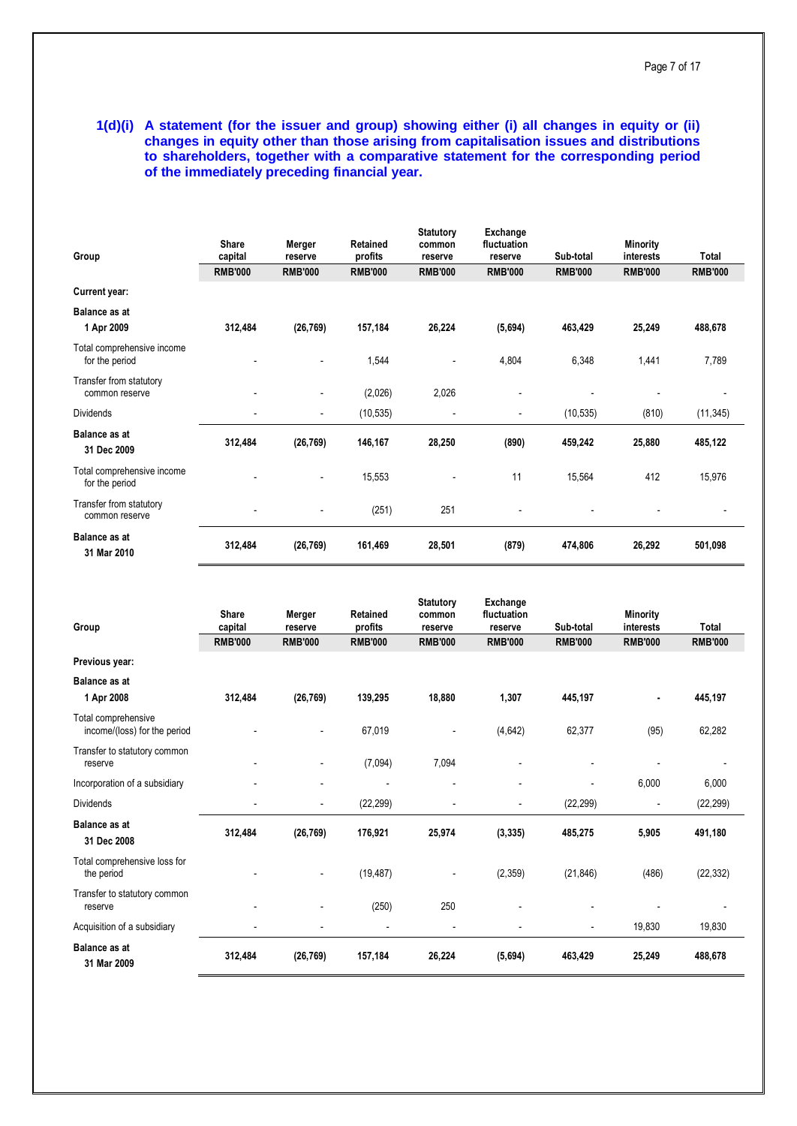**1(d)(i) A statement (for the issuer and group) showing either (i) all changes in equity or (ii) changes in equity other than those arising from capitalisation issues and distributions to shareholders, together with a comparative statement for the corresponding period of the immediately preceding financial year.**

| Group                                        | Share<br>capital         | Merger<br>reserve        | Retained<br>profits | <b>Statutory</b><br>common<br>reserve | Exchange<br>fluctuation<br>reserve | Sub-total      | <b>Minority</b><br>interests | Total          |
|----------------------------------------------|--------------------------|--------------------------|---------------------|---------------------------------------|------------------------------------|----------------|------------------------------|----------------|
|                                              | <b>RMB'000</b>           | <b>RMB'000</b>           | <b>RMB'000</b>      | <b>RMB'000</b>                        | <b>RMB'000</b>                     | <b>RMB'000</b> | <b>RMB'000</b>               | <b>RMB'000</b> |
| <b>Current year:</b>                         |                          |                          |                     |                                       |                                    |                |                              |                |
| <b>Balance as at</b>                         |                          |                          |                     |                                       |                                    |                |                              |                |
| 1 Apr 2009                                   | 312,484                  | (26, 769)                | 157,184             | 26,224                                | (5,694)                            | 463,429        | 25,249                       | 488,678        |
| Total comprehensive income<br>for the period |                          | $\overline{\phantom{a}}$ | 1,544               | $\overline{\phantom{a}}$              | 4,804                              | 6,348          | 1,441                        | 7,789          |
| Transfer from statutory<br>common reserve    | $\overline{\phantom{a}}$ | $\overline{\phantom{a}}$ | (2,026)             | 2,026                                 | $\overline{\phantom{0}}$           |                |                              |                |
| <b>Dividends</b>                             |                          | $\overline{\phantom{a}}$ | (10, 535)           | $\overline{\phantom{a}}$              | $\blacksquare$                     | (10, 535)      | (810)                        | (11, 345)      |
| <b>Balance as at</b><br>31 Dec 2009          | 312,484                  | (26, 769)                | 146,167             | 28,250                                | (890)                              | 459,242        | 25,880                       | 485,122        |
| Total comprehensive income<br>for the period |                          | $\overline{\phantom{a}}$ | 15,553              |                                       | 11                                 | 15,564         | 412                          | 15,976         |
| Transfer from statutory<br>common reserve    | $\overline{\phantom{a}}$ | $\overline{a}$           | (251)               | 251                                   | $\overline{\phantom{a}}$           |                |                              |                |
| <b>Balance as at</b><br>31 Mar 2010          | 312,484                  | (26, 769)                | 161,469             | 28,501                                | (879)                              | 474,806        | 26,292                       | 501,098        |

| Group                                               | <b>Share</b><br>capital  | Merger<br>reserve        | Retained<br>profits      | <b>Statutory</b><br>common<br>reserve | Exchange<br>fluctuation<br>reserve | Sub-total                | <b>Minority</b><br>interests | Total          |
|-----------------------------------------------------|--------------------------|--------------------------|--------------------------|---------------------------------------|------------------------------------|--------------------------|------------------------------|----------------|
|                                                     | <b>RMB'000</b>           | <b>RMB'000</b>           | <b>RMB'000</b>           | <b>RMB'000</b>                        | <b>RMB'000</b>                     | <b>RMB'000</b>           | <b>RMB'000</b>               | <b>RMB'000</b> |
| Previous year:                                      |                          |                          |                          |                                       |                                    |                          |                              |                |
| <b>Balance as at</b>                                |                          |                          |                          |                                       |                                    |                          |                              |                |
| 1 Apr 2008                                          | 312,484                  | (26, 769)                | 139,295                  | 18,880                                | 1,307                              | 445,197                  |                              | 445,197        |
| Total comprehensive<br>income/(loss) for the period |                          |                          | 67,019                   | $\overline{a}$                        | (4,642)                            | 62,377                   | (95)                         | 62,282         |
| Transfer to statutory common<br>reserve             | $\overline{\phantom{a}}$ |                          | (7,094)                  | 7,094                                 |                                    |                          |                              |                |
| Incorporation of a subsidiary                       |                          |                          |                          | $\overline{\phantom{a}}$              | $\overline{a}$                     |                          | 6,000                        | 6,000          |
| <b>Dividends</b>                                    | $\overline{\phantom{a}}$ | $\overline{\phantom{a}}$ | (22, 299)                | $\overline{a}$                        | $\overline{\phantom{a}}$           | (22, 299)                |                              | (22, 299)      |
| <b>Balance as at</b><br>31 Dec 2008                 | 312,484                  | (26, 769)                | 176,921                  | 25,974                                | (3, 335)                           | 485,275                  | 5,905                        | 491,180        |
| Total comprehensive loss for<br>the period          |                          |                          | (19, 487)                | -                                     | (2, 359)                           | (21, 846)                | (486)                        | (22, 332)      |
| Transfer to statutory common<br>reserve             |                          |                          | (250)                    | 250                                   |                                    |                          |                              |                |
| Acquisition of a subsidiary                         | $\overline{\phantom{0}}$ |                          | $\overline{\phantom{a}}$ | $\overline{a}$                        |                                    | $\overline{\phantom{a}}$ | 19,830                       | 19,830         |
| <b>Balance as at</b><br>31 Mar 2009                 | 312,484                  | (26, 769)                | 157,184                  | 26,224                                | (5,694)                            | 463,429                  | 25,249                       | 488,678        |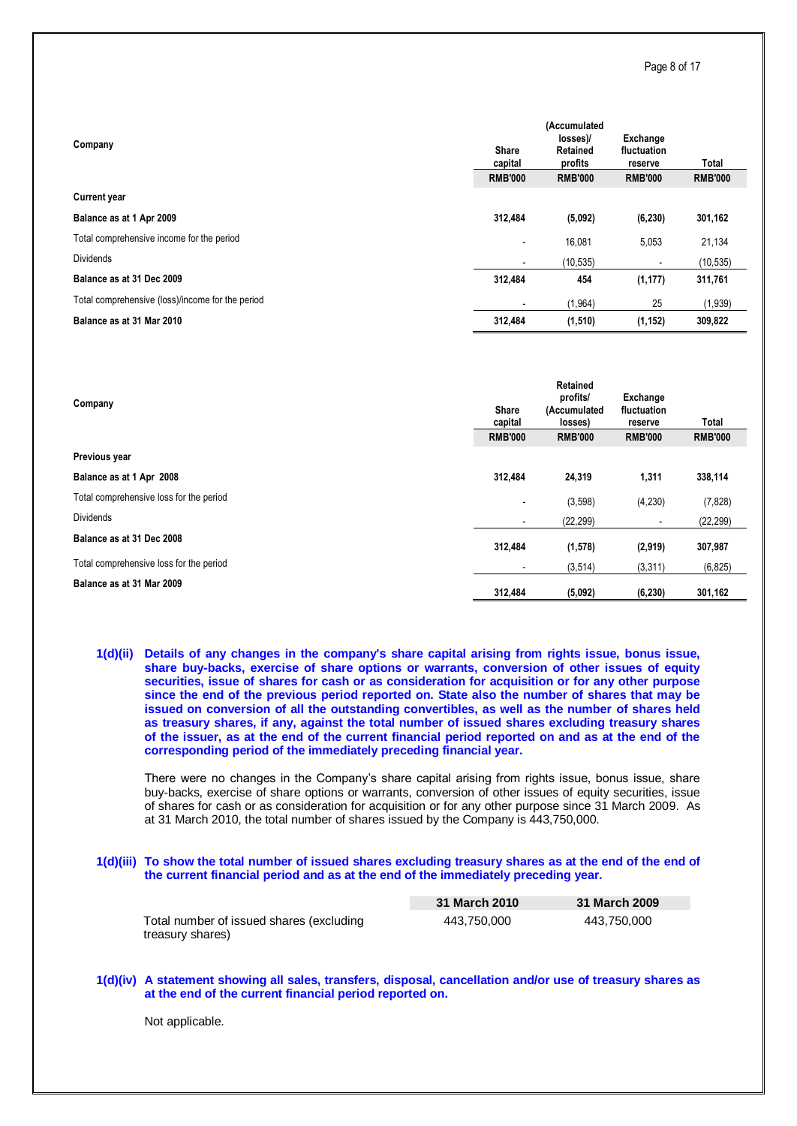| Company                                          | <b>Share</b><br>capital<br><b>RMB'000</b> | (Accumulated<br>losses)/<br>Retained<br>profits<br><b>RMB'000</b> | Exchange<br>fluctuation<br>reserve<br><b>RMB'000</b> | Total<br><b>RMB'000</b> |
|--------------------------------------------------|-------------------------------------------|-------------------------------------------------------------------|------------------------------------------------------|-------------------------|
| <b>Current year</b>                              |                                           |                                                                   |                                                      |                         |
| Balance as at 1 Apr 2009                         | 312,484                                   | (5,092)                                                           | (6, 230)                                             | 301,162                 |
| Total comprehensive income for the period        | $\overline{\phantom{a}}$                  | 16,081                                                            | 5,053                                                | 21,134                  |
| <b>Dividends</b>                                 | $\overline{\phantom{a}}$                  | (10.535)                                                          | $\overline{\phantom{a}}$                             | (10, 535)               |
| Balance as at 31 Dec 2009                        | 312,484                                   | 454                                                               | (1, 177)                                             | 311,761                 |
| Total comprehensive (loss)/income for the period | $\overline{\phantom{0}}$                  | (1, 964)                                                          | 25                                                   | (1,939)                 |
| Balance as at 31 Mar 2010                        | 312,484                                   | (1, 510)                                                          | (1, 152)                                             | 309,822                 |

| Company                                 | <b>Share</b><br>capital  | Retained<br>profits/<br>(Accumulated<br>losses) | Exchange<br>fluctuation<br>reserve | Total          |
|-----------------------------------------|--------------------------|-------------------------------------------------|------------------------------------|----------------|
|                                         | <b>RMB'000</b>           | <b>RMB'000</b>                                  | <b>RMB'000</b>                     | <b>RMB'000</b> |
| Previous year                           |                          |                                                 |                                    |                |
| Balance as at 1 Apr 2008                | 312,484                  | 24,319                                          | 1,311                              | 338,114        |
| Total comprehensive loss for the period | $\overline{\phantom{a}}$ | (3,598)                                         | (4,230)                            | (7, 828)       |
| <b>Dividends</b>                        | $\overline{\phantom{a}}$ | (22, 299)                                       |                                    | (22, 299)      |
| Balance as at 31 Dec 2008               | 312,484                  | (1, 578)                                        | (2,919)                            | 307,987        |
| Total comprehensive loss for the period | $\overline{\phantom{a}}$ | (3, 514)                                        | (3,311)                            | (6, 825)       |
| Balance as at 31 Mar 2009               | 312.484                  | (5,092)                                         | (6, 230)                           | 301,162        |

### **1(d)(ii) Details of any changes in the company's share capital arising from rights issue, bonus issue, share buy-backs, exercise of share options or warrants, conversion of other issues of equity securities, issue of shares for cash or as consideration for acquisition or for any other purpose since the end of the previous period reported on. State also the number of shares that may be issued on conversion of all the outstanding convertibles, as well as the number of shares held as treasury shares, if any, against the total number of issued shares excluding treasury shares of the issuer, as at the end of the current financial period reported on and as at the end of the corresponding period of the immediately preceding financial year.**

There were no changes in the Company's share capital arising from rights issue, bonus issue, share buy-backs, exercise of share options or warrants, conversion of other issues of equity securities, issue of shares for cash or as consideration for acquisition or for any other purpose since 31 March 2009. As at 31 March 2010, the total number of shares issued by the Company is 443,750,000.

#### **1(d)(iii) To show the total number of issued shares excluding treasury shares as at the end of the end of the current financial period and as at the end of the immediately preceding year.**

|                                                              | 31 March 2010 | 31 March 2009 |
|--------------------------------------------------------------|---------------|---------------|
| Total number of issued shares (excluding<br>treasury shares) | 443.750.000   | 443.750.000   |

**1(d)(iv) A statement showing all sales, transfers, disposal, cancellation and/or use of treasury shares as at the end of the current financial period reported on.**

Not applicable.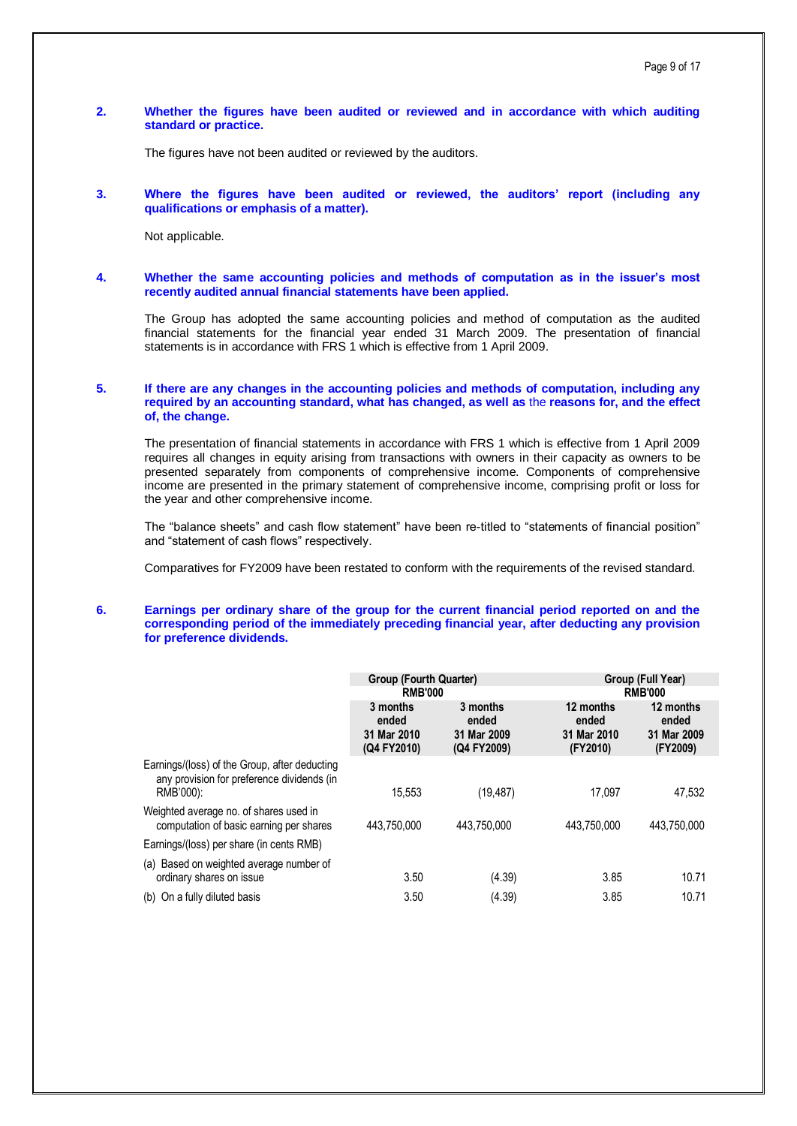## **2. Whether the figures have been audited or reviewed and in accordance with which auditing standard or practice.**

The figures have not been audited or reviewed by the auditors.

#### **3. Where the figures have been audited or reviewed, the auditors' report (including any qualifications or emphasis of a matter).**

Not applicable.

**4. Whether the same accounting policies and methods of computation as in the issuer's most recently audited annual financial statements have been applied.**

The Group has adopted the same accounting policies and method of computation as the audited financial statements for the financial year ended 31 March 2009. The presentation of financial statements is in accordance with FRS 1 which is effective from 1 April 2009.

## **5. If there are any changes in the accounting policies and methods of computation, including any required by an accounting standard, what has changed, as well as** the **reasons for, and the effect of, the change.**

The presentation of financial statements in accordance with FRS 1 which is effective from 1 April 2009 requires all changes in equity arising from transactions with owners in their capacity as owners to be presented separately from components of comprehensive income. Components of comprehensive income are presented in the primary statement of comprehensive income, comprising profit or loss for the year and other comprehensive income.

The "balance sheets" and cash flow statement" have been re-titled to "statements of financial position" and "statement of cash flows" respectively.

Comparatives for FY2009 have been restated to conform with the requirements of the revised standard.

### **6. Earnings per ordinary share of the group for the current financial period reported on and the corresponding period of the immediately preceding financial year, after deducting any provision for preference dividends.**

|                                                                                                          | Group (Fourth Quarter)                          |                                                 |                                               | Group (Full Year)<br><b>RMB'000</b>           |  |  |
|----------------------------------------------------------------------------------------------------------|-------------------------------------------------|-------------------------------------------------|-----------------------------------------------|-----------------------------------------------|--|--|
|                                                                                                          | <b>RMB'000</b>                                  |                                                 |                                               |                                               |  |  |
|                                                                                                          | 3 months<br>ended<br>31 Mar 2010<br>(Q4 FY2010) | 3 months<br>ended<br>31 Mar 2009<br>(Q4 FY2009) | 12 months<br>ended<br>31 Mar 2010<br>(FY2010) | 12 months<br>ended<br>31 Mar 2009<br>(FY2009) |  |  |
| Earnings/(loss) of the Group, after deducting<br>any provision for preference dividends (in<br>RMB'000): | 15.553                                          | (19, 487)                                       | 17.097                                        | 47,532                                        |  |  |
| Weighted average no. of shares used in<br>computation of basic earning per shares                        | 443.750.000                                     | 443.750.000                                     | 443.750.000                                   | 443.750.000                                   |  |  |
| Earnings/(loss) per share (in cents RMB)                                                                 |                                                 |                                                 |                                               |                                               |  |  |
| (a) Based on weighted average number of<br>ordinary shares on issue                                      | 3.50                                            | (4.39)                                          | 3.85                                          | 10.71                                         |  |  |
| (b) On a fully diluted basis                                                                             | 3.50                                            | (4.39)                                          | 3.85                                          | 10.71                                         |  |  |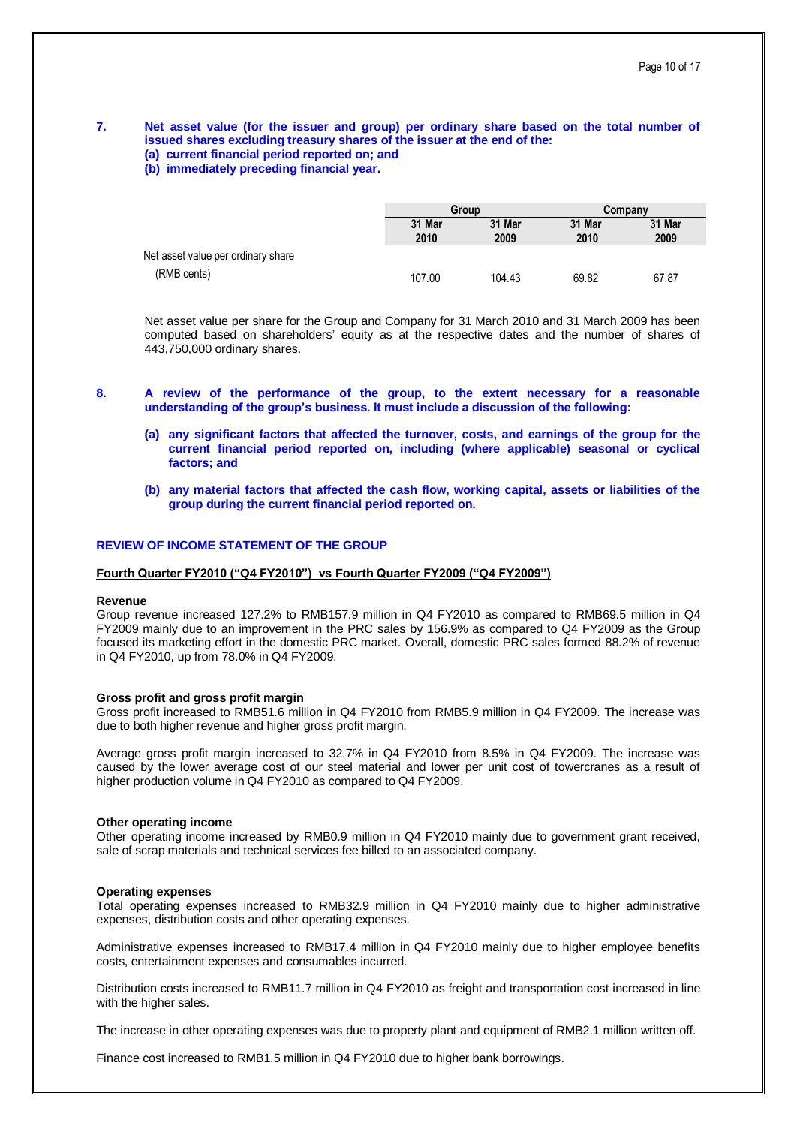#### **7. Net asset value (for the issuer and group) per ordinary share based on the total number of issued shares excluding treasury shares of the issuer at the end of the: (a) current financial period reported on; and**

**(b) immediately preceding financial year.**

|                                    |                | Group          |                | Company        |
|------------------------------------|----------------|----------------|----------------|----------------|
|                                    | 31 Mar<br>2010 | 31 Mar<br>2009 | 31 Mar<br>2010 | 31 Mar<br>2009 |
| Net asset value per ordinary share |                |                |                |                |
| (RMB cents)                        | 107.00         | 104.43         | 69.82          | 67.87          |

Net asset value per share for the Group and Company for 31 March 2010 and 31 March 2009 has been computed based on shareholders' equity as at the respective dates and the number of shares of 443,750,000 ordinary shares.

- **8. A review of the performance of the group, to the extent necessary for a reasonable understanding of the group's business. It must include a discussion of the following:**
	- **(a) any significant factors that affected the turnover, costs, and earnings of the group for the current financial period reported on, including (where applicable) seasonal or cyclical factors; and**
	- **(b) any material factors that affected the cash flow, working capital, assets or liabilities of the group during the current financial period reported on.**

#### **REVIEW OF INCOME STATEMENT OF THE GROUP**

#### **Fourth Quarter FY2010 ("Q4 FY2010") vs Fourth Quarter FY2009 ("Q4 FY2009")**

#### **Revenue**

Group revenue increased 127.2% to RMB157.9 million in Q4 FY2010 as compared to RMB69.5 million in Q4 FY2009 mainly due to an improvement in the PRC sales by 156.9% as compared to Q4 FY2009 as the Group focused its marketing effort in the domestic PRC market. Overall, domestic PRC sales formed 88.2% of revenue in Q4 FY2010, up from 78.0% in Q4 FY2009.

#### **Gross profit and gross profit margin**

Gross profit increased to RMB51.6 million in Q4 FY2010 from RMB5.9 million in Q4 FY2009. The increase was due to both higher revenue and higher gross profit margin.

Average gross profit margin increased to 32.7% in Q4 FY2010 from 8.5% in Q4 FY2009. The increase was caused by the lower average cost of our steel material and lower per unit cost of towercranes as a result of higher production volume in Q4 FY2010 as compared to Q4 FY2009.

#### **Other operating income**

Other operating income increased by RMB0.9 million in Q4 FY2010 mainly due to government grant received, sale of scrap materials and technical services fee billed to an associated company.

#### **Operating expenses**

Total operating expenses increased to RMB32.9 million in Q4 FY2010 mainly due to higher administrative expenses, distribution costs and other operating expenses.

Administrative expenses increased to RMB17.4 million in Q4 FY2010 mainly due to higher employee benefits costs, entertainment expenses and consumables incurred.

Distribution costs increased to RMB11.7 million in Q4 FY2010 as freight and transportation cost increased in line with the higher sales.

The increase in other operating expenses was due to property plant and equipment of RMB2.1 million written off.

Finance cost increased to RMB1.5 million in Q4 FY2010 due to higher bank borrowings.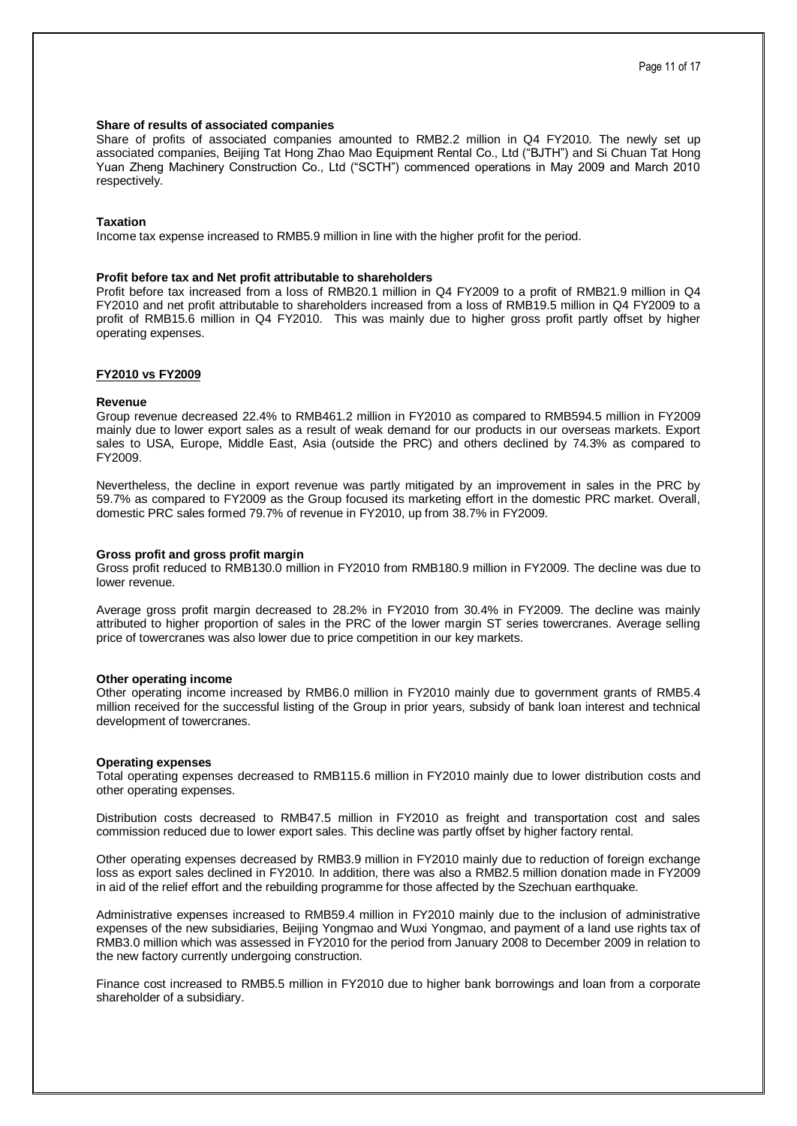#### **Share of results of associated companies**

Share of profits of associated companies amounted to RMB2.2 million in Q4 FY2010. The newly set up associated companies, Beijing Tat Hong Zhao Mao Equipment Rental Co., Ltd ("BJTH") and Si Chuan Tat Hong Yuan Zheng Machinery Construction Co., Ltd ("SCTH") commenced operations in May 2009 and March 2010 respectively.

#### **Taxation**

Income tax expense increased to RMB5.9 million in line with the higher profit for the period.

#### **Profit before tax and Net profit attributable to shareholders**

Profit before tax increased from a loss of RMB20.1 million in Q4 FY2009 to a profit of RMB21.9 million in Q4 FY2010 and net profit attributable to shareholders increased from a loss of RMB19.5 million in Q4 FY2009 to a profit of RMB15.6 million in Q4 FY2010. This was mainly due to higher gross profit partly offset by higher operating expenses.

#### **FY2010 vs FY2009**

#### **Revenue**

Group revenue decreased 22.4% to RMB461.2 million in FY2010 as compared to RMB594.5 million in FY2009 mainly due to lower export sales as a result of weak demand for our products in our overseas markets. Export sales to USA, Europe, Middle East, Asia (outside the PRC) and others declined by 74.3% as compared to FY2009.

Nevertheless, the decline in export revenue was partly mitigated by an improvement in sales in the PRC by 59.7% as compared to FY2009 as the Group focused its marketing effort in the domestic PRC market. Overall, domestic PRC sales formed 79.7% of revenue in FY2010, up from 38.7% in FY2009.

#### **Gross profit and gross profit margin**

Gross profit reduced to RMB130.0 million in FY2010 from RMB180.9 million in FY2009. The decline was due to lower revenue.

Average gross profit margin decreased to 28.2% in FY2010 from 30.4% in FY2009. The decline was mainly attributed to higher proportion of sales in the PRC of the lower margin ST series towercranes. Average selling price of towercranes was also lower due to price competition in our key markets.

#### **Other operating income**

Other operating income increased by RMB6.0 million in FY2010 mainly due to government grants of RMB5.4 million received for the successful listing of the Group in prior years, subsidy of bank loan interest and technical development of towercranes.

#### **Operating expenses**

Total operating expenses decreased to RMB115.6 million in FY2010 mainly due to lower distribution costs and other operating expenses.

Distribution costs decreased to RMB47.5 million in FY2010 as freight and transportation cost and sales commission reduced due to lower export sales. This decline was partly offset by higher factory rental.

Other operating expenses decreased by RMB3.9 million in FY2010 mainly due to reduction of foreign exchange loss as export sales declined in FY2010. In addition, there was also a RMB2.5 million donation made in FY2009 in aid of the relief effort and the rebuilding programme for those affected by the Szechuan earthquake.

Administrative expenses increased to RMB59.4 million in FY2010 mainly due to the inclusion of administrative expenses of the new subsidiaries, Beijing Yongmao and Wuxi Yongmao, and payment of a land use rights tax of RMB3.0 million which was assessed in FY2010 for the period from January 2008 to December 2009 in relation to the new factory currently undergoing construction.

Finance cost increased to RMB5.5 million in FY2010 due to higher bank borrowings and loan from a corporate shareholder of a subsidiary.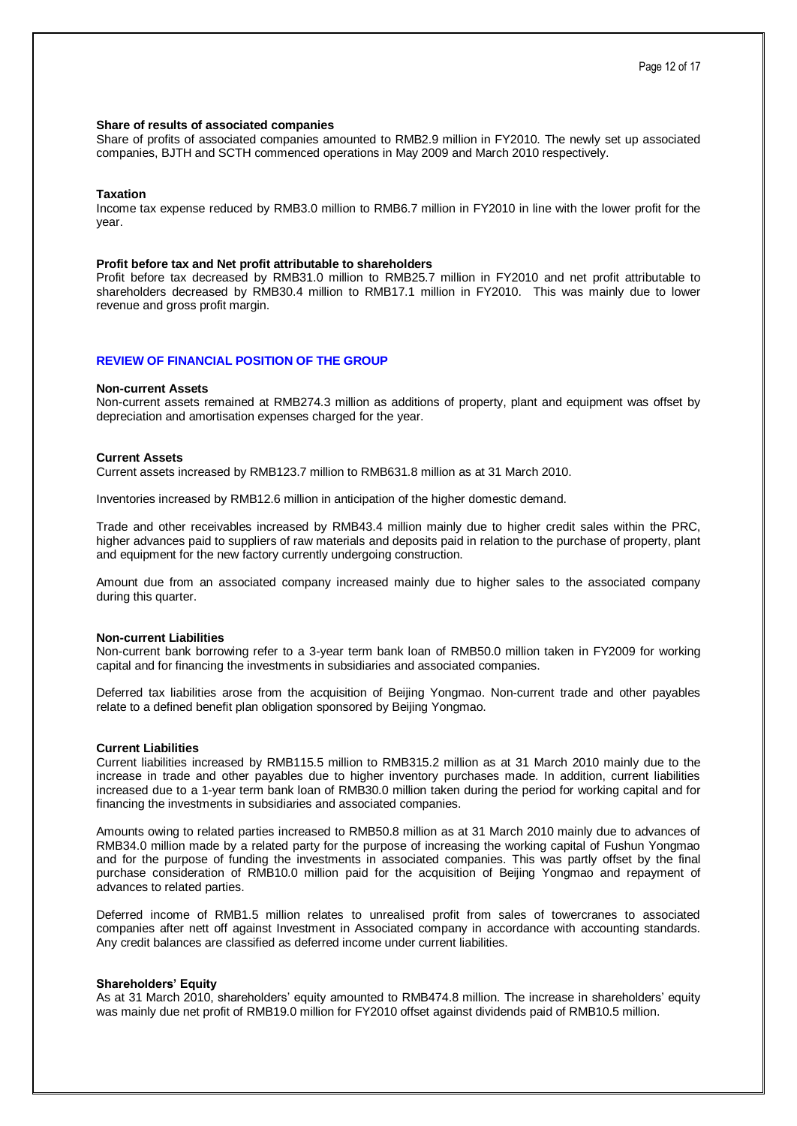#### **Share of results of associated companies**

Share of profits of associated companies amounted to RMB2.9 million in FY2010. The newly set up associated companies, BJTH and SCTH commenced operations in May 2009 and March 2010 respectively.

#### **Taxation**

Income tax expense reduced by RMB3.0 million to RMB6.7 million in FY2010 in line with the lower profit for the year.

#### **Profit before tax and Net profit attributable to shareholders**

Profit before tax decreased by RMB31.0 million to RMB25.7 million in FY2010 and net profit attributable to shareholders decreased by RMB30.4 million to RMB17.1 million in FY2010. This was mainly due to lower revenue and gross profit margin.

#### **REVIEW OF FINANCIAL POSITION OF THE GROUP**

#### **Non-current Assets**

Non-current assets remained at RMB274.3 million as additions of property, plant and equipment was offset by depreciation and amortisation expenses charged for the year.

#### **Current Assets**

Current assets increased by RMB123.7 million to RMB631.8 million as at 31 March 2010.

Inventories increased by RMB12.6 million in anticipation of the higher domestic demand.

Trade and other receivables increased by RMB43.4 million mainly due to higher credit sales within the PRC, higher advances paid to suppliers of raw materials and deposits paid in relation to the purchase of property, plant and equipment for the new factory currently undergoing construction.

Amount due from an associated company increased mainly due to higher sales to the associated company during this quarter.

#### **Non-current Liabilities**

Non-current bank borrowing refer to a 3-year term bank loan of RMB50.0 million taken in FY2009 for working capital and for financing the investments in subsidiaries and associated companies.

Deferred tax liabilities arose from the acquisition of Beijing Yongmao. Non-current trade and other payables relate to a defined benefit plan obligation sponsored by Beijing Yongmao.

#### **Current Liabilities**

Current liabilities increased by RMB115.5 million to RMB315.2 million as at 31 March 2010 mainly due to the increase in trade and other payables due to higher inventory purchases made. In addition, current liabilities increased due to a 1-year term bank loan of RMB30.0 million taken during the period for working capital and for financing the investments in subsidiaries and associated companies.

Amounts owing to related parties increased to RMB50.8 million as at 31 March 2010 mainly due to advances of RMB34.0 million made by a related party for the purpose of increasing the working capital of Fushun Yongmao and for the purpose of funding the investments in associated companies. This was partly offset by the final purchase consideration of RMB10.0 million paid for the acquisition of Beijing Yongmao and repayment of advances to related parties.

Deferred income of RMB1.5 million relates to unrealised profit from sales of towercranes to associated companies after nett off against Investment in Associated company in accordance with accounting standards. Any credit balances are classified as deferred income under current liabilities.

#### **Shareholders' Equity**

As at 31 March 2010, shareholders' equity amounted to RMB474.8 million. The increase in shareholders' equity was mainly due net profit of RMB19.0 million for FY2010 offset against dividends paid of RMB10.5 million.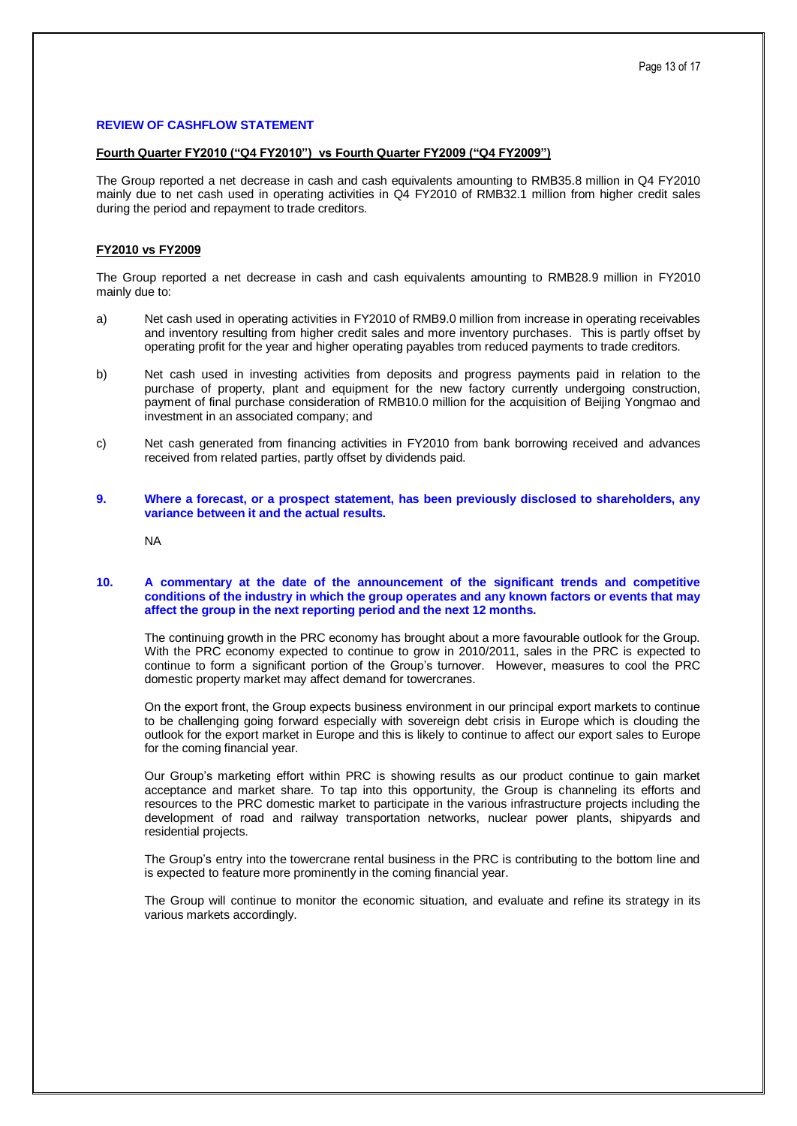## **REVIEW OF CASHFLOW STATEMENT**

#### **Fourth Quarter FY2010 ("Q4 FY2010") vs Fourth Quarter FY2009 ("Q4 FY2009")**

The Group reported a net decrease in cash and cash equivalents amounting to RMB35.8 million in Q4 FY2010 mainly due to net cash used in operating activities in Q4 FY2010 of RMB32.1 million from higher credit sales during the period and repayment to trade creditors.

#### **FY2010 vs FY2009**

The Group reported a net decrease in cash and cash equivalents amounting to RMB28.9 million in FY2010 mainly due to:

- a) Net cash used in operating activities in FY2010 of RMB9.0 million from increase in operating receivables and inventory resulting from higher credit sales and more inventory purchases. This is partly offset by operating profit for the year and higher operating payables trom reduced payments to trade creditors.
- b) Net cash used in investing activities from deposits and progress payments paid in relation to the purchase of property, plant and equipment for the new factory currently undergoing construction, payment of final purchase consideration of RMB10.0 million for the acquisition of Beijing Yongmao and investment in an associated company; and
- c) Net cash generated from financing activities in FY2010 from bank borrowing received and advances received from related parties, partly offset by dividends paid.
- **9. Where a forecast, or a prospect statement, has been previously disclosed to shareholders, any variance between it and the actual results.**

NA

#### **10. A commentary at the date of the announcement of the significant trends and competitive conditions of the industry in which the group operates and any known factors or events that may affect the group in the next reporting period and the next 12 months.**

The continuing growth in the PRC economy has brought about a more favourable outlook for the Group. With the PRC economy expected to continue to grow in 2010/2011, sales in the PRC is expected to continue to form a significant portion of the Group's turnover. However, measures to cool the PRC domestic property market may affect demand for towercranes.

On the export front, the Group expects business environment in our principal export markets to continue to be challenging going forward especially with sovereign debt crisis in Europe which is clouding the outlook for the export market in Europe and this is likely to continue to affect our export sales to Europe for the coming financial year.

Our Group's marketing effort within PRC is showing results as our product continue to gain market acceptance and market share. To tap into this opportunity, the Group is channeling its efforts and resources to the PRC domestic market to participate in the various infrastructure projects including the development of road and railway transportation networks, nuclear power plants, shipyards and residential projects.

The Group's entry into the towercrane rental business in the PRC is contributing to the bottom line and is expected to feature more prominently in the coming financial year.

The Group will continue to monitor the economic situation, and evaluate and refine its strategy in its various markets accordingly.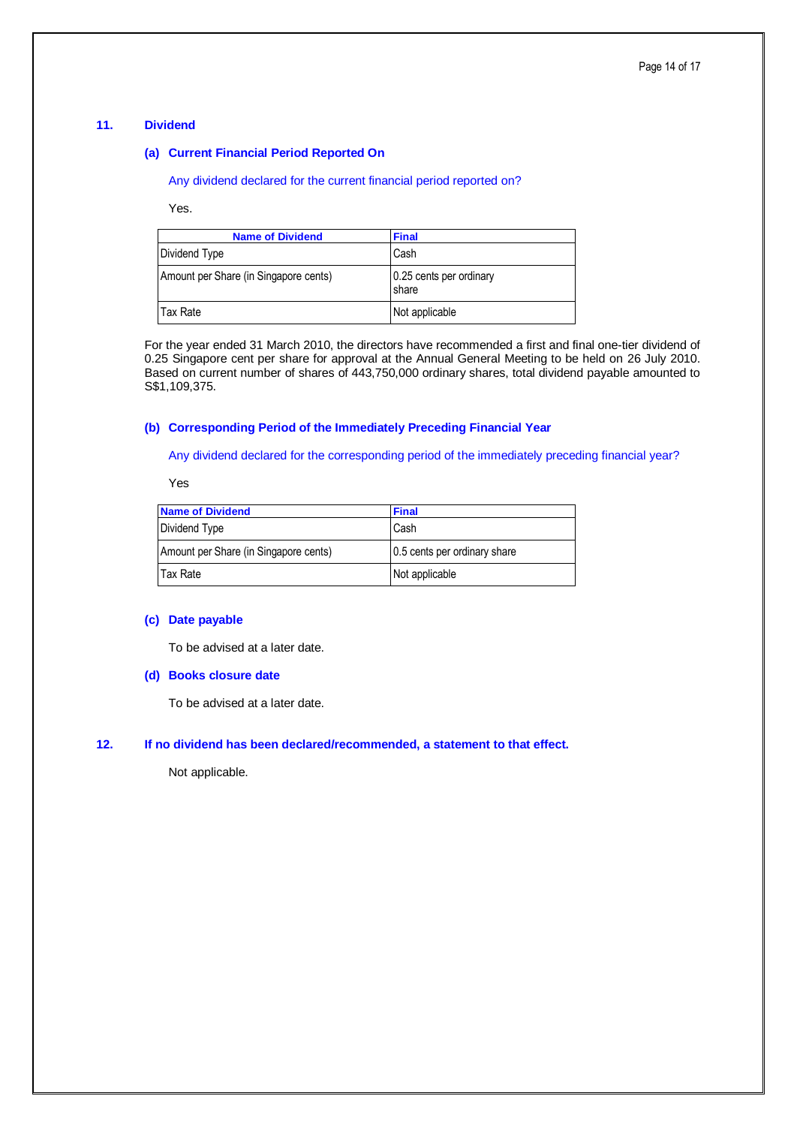## **11. Dividend**

## **(a) Current Financial Period Reported On**

Any dividend declared for the current financial period reported on?

Yes.

| <b>Name of Dividend</b>               | <b>Final</b>                     |
|---------------------------------------|----------------------------------|
| Dividend Type                         | Cash                             |
| Amount per Share (in Singapore cents) | 0.25 cents per ordinary<br>share |
| Tax Rate                              | Not applicable                   |

For the year ended 31 March 2010, the directors have recommended a first and final one-tier dividend of 0.25 Singapore cent per share for approval at the Annual General Meeting to be held on 26 July 2010. Based on current number of shares of 443,750,000 ordinary shares, total dividend payable amounted to S\$1,109,375.

## **(b) Corresponding Period of the Immediately Preceding Financial Year**

Any dividend declared for the corresponding period of the immediately preceding financial year?

Yes

| <b>Name of Dividend</b>               | <b>Final</b>                 |
|---------------------------------------|------------------------------|
| Dividend Type                         | Cash                         |
| Amount per Share (in Singapore cents) | 0.5 cents per ordinary share |
| Tax Rate                              | Not applicable               |

## **(c) Date payable**

To be advised at a later date.

## **(d) Books closure date**

To be advised at a later date.

## **12. If no dividend has been declared/recommended, a statement to that effect.**

Not applicable.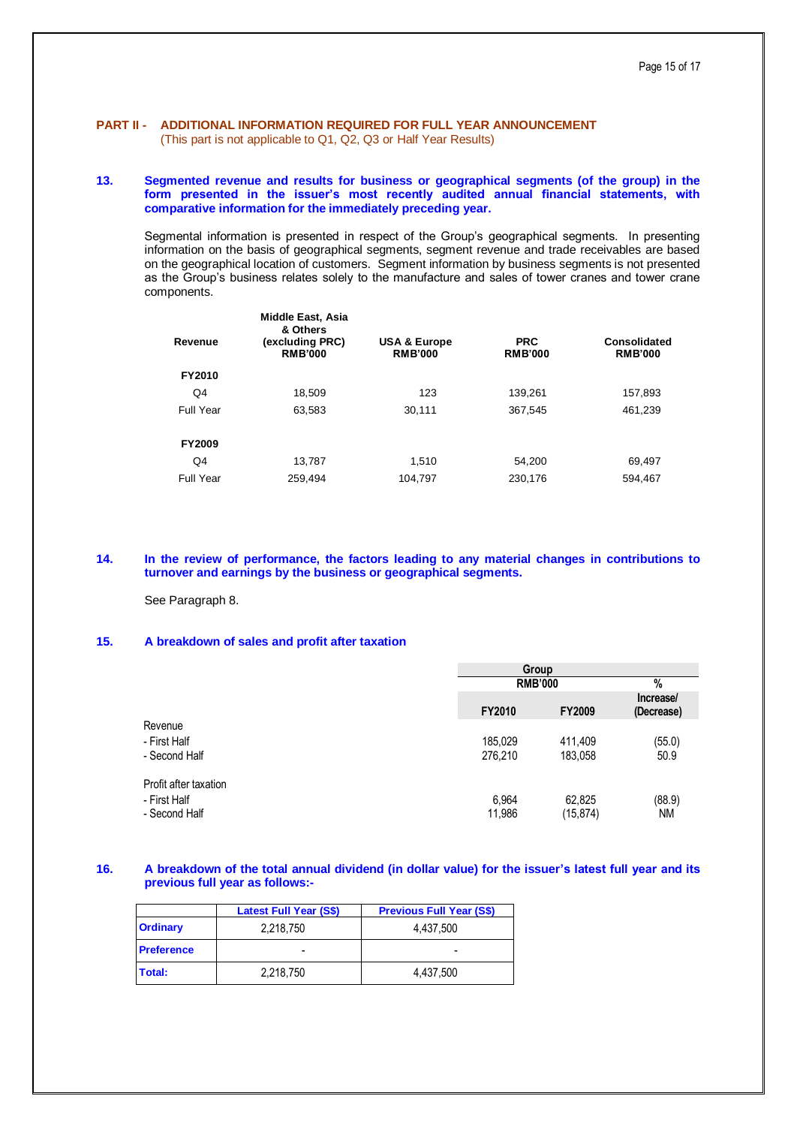# **PART II - ADDITIONAL INFORMATION REQUIRED FOR FULL YEAR ANNOUNCEMENT**

(This part is not applicable to Q1, Q2, Q3 or Half Year Results)

#### **13. Segmented revenue and results for business or geographical segments (of the group) in the form presented in the issuer's most recently audited annual financial statements, with comparative information for the immediately preceding year.**

Segmental information is presented in respect of the Group's geographical segments. In presenting information on the basis of geographical segments, segment revenue and trade receivables are based on the geographical location of customers. Segment information by business segments is not presented as the Group's business relates solely to the manufacture and sales of tower cranes and tower crane components.

| Revenue          | <b>Middle East, Asia</b><br>& Others<br>(excluding PRC)<br><b>RMB'000</b> | <b>USA &amp; Europe</b><br><b>RMB'000</b> | <b>PRC</b><br><b>RMB'000</b> | Consolidated<br><b>RMB'000</b> |
|------------------|---------------------------------------------------------------------------|-------------------------------------------|------------------------------|--------------------------------|
| FY2010           |                                                                           |                                           |                              |                                |
| Q4               | 18,509                                                                    | 123                                       | 139.261                      | 157,893                        |
| Full Year        | 63,583                                                                    | 30,111                                    | 367,545                      | 461,239                        |
| <b>FY2009</b>    |                                                                           |                                           |                              |                                |
| Q4               | 13,787                                                                    | 1.510                                     | 54.200                       | 69,497                         |
| <b>Full Year</b> | 259,494                                                                   | 104,797                                   | 230.176                      | 594,467                        |
|                  |                                                                           |                                           |                              |                                |

#### **14. In the review of performance, the factors leading to any material changes in contributions to turnover and earnings by the business or geographical segments.**

See Paragraph 8.

## **15. A breakdown of sales and profit after taxation**

|                       | Group          |           |                         |
|-----------------------|----------------|-----------|-------------------------|
|                       | <b>RMB'000</b> |           | $\%$                    |
|                       | <b>FY2010</b>  | FY2009    | Increase/<br>(Decrease) |
| Revenue               |                |           |                         |
| - First Half          | 185,029        | 411,409   | (55.0)                  |
| - Second Half         | 276,210        | 183,058   | 50.9                    |
| Profit after taxation |                |           |                         |
| - First Half          | 6,964          | 62,825    | (88.9)                  |
| - Second Half         | 11,986         | (15, 874) | ΝM                      |

## **16. A breakdown of the total annual dividend (in dollar value) for the issuer's latest full year and its previous full year as follows:-**

|                   | <b>Latest Full Year (S\$)</b> | <b>Previous Full Year (S\$)</b> |
|-------------------|-------------------------------|---------------------------------|
| <b>Ordinary</b>   | 2,218,750                     | 4.437.500                       |
| <b>Preference</b> |                               |                                 |
| Total:            | 2,218,750                     | 4.437.500                       |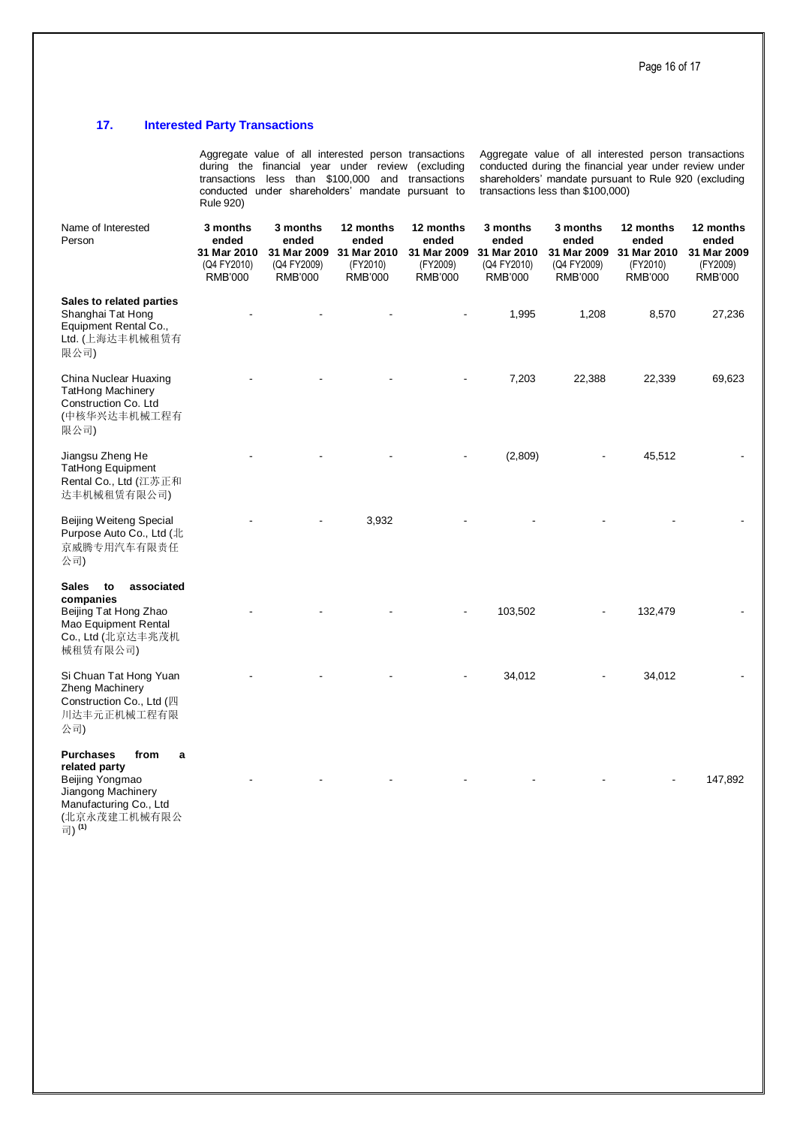# **17. Interested Party Transactions**

|                                                                                                                                            | Aggregate value of all little ested person transactions<br>Aggregate value of all litterested person transactions<br>during the financial year under review (excluding<br>conducted during the financial year under review under<br>transactions less than \$100,000 and transactions<br>shareholders' mandate pursuant to Rule 920 (excluding<br>conducted under shareholders' mandate pursuant to<br>transactions less than \$100,000)<br>Rule 920) |                                                                   |                                                                 |                                                                 |                                                                   |                                                                   |                                                                 |                                                                 |
|--------------------------------------------------------------------------------------------------------------------------------------------|-------------------------------------------------------------------------------------------------------------------------------------------------------------------------------------------------------------------------------------------------------------------------------------------------------------------------------------------------------------------------------------------------------------------------------------------------------|-------------------------------------------------------------------|-----------------------------------------------------------------|-----------------------------------------------------------------|-------------------------------------------------------------------|-------------------------------------------------------------------|-----------------------------------------------------------------|-----------------------------------------------------------------|
| Name of Interested<br>Person                                                                                                               | 3 months<br>ended<br>31 Mar 2010<br>(Q4 FY2010)<br><b>RMB'000</b>                                                                                                                                                                                                                                                                                                                                                                                     | 3 months<br>ended<br>31 Mar 2009<br>(Q4 FY2009)<br><b>RMB'000</b> | 12 months<br>ended<br>31 Mar 2010<br>(FY2010)<br><b>RMB'000</b> | 12 months<br>ended<br>31 Mar 2009<br>(FY2009)<br><b>RMB'000</b> | 3 months<br>ended<br>31 Mar 2010<br>(Q4 FY2010)<br><b>RMB'000</b> | 3 months<br>ended<br>31 Mar 2009<br>(Q4 FY2009)<br><b>RMB'000</b> | 12 months<br>ended<br>31 Mar 2010<br>(FY2010)<br><b>RMB'000</b> | 12 months<br>ended<br>31 Mar 2009<br>(FY2009)<br><b>RMB'000</b> |
| Sales to related parties<br>Shanghai Tat Hong<br>Equipment Rental Co.,<br>Ltd. (上海达丰机械租赁有<br>限公司)                                          |                                                                                                                                                                                                                                                                                                                                                                                                                                                       |                                                                   |                                                                 |                                                                 | 1,995                                                             | 1,208                                                             | 8,570                                                           | 27,236                                                          |
| China Nuclear Huaxing<br>TatHong Machinery<br>Construction Co. Ltd<br>(中核华兴达丰机械工程有<br>限公司)                                                 |                                                                                                                                                                                                                                                                                                                                                                                                                                                       |                                                                   |                                                                 |                                                                 | 7,203                                                             | 22,388                                                            | 22,339                                                          | 69,623                                                          |
| Jiangsu Zheng He<br>TatHong Equipment<br>Rental Co., Ltd (江苏正和<br>达丰机械租赁有限公司)                                                              |                                                                                                                                                                                                                                                                                                                                                                                                                                                       |                                                                   |                                                                 |                                                                 | (2,809)                                                           |                                                                   | 45,512                                                          |                                                                 |
| Beijing Weiteng Special<br>Purpose Auto Co., Ltd (北<br>京威腾专用汽车有限责任<br>公司)                                                                  |                                                                                                                                                                                                                                                                                                                                                                                                                                                       |                                                                   | 3,932                                                           |                                                                 |                                                                   |                                                                   |                                                                 |                                                                 |
| associated<br><b>Sales</b><br>to<br>companies<br>Beijing Tat Hong Zhao<br>Mao Equipment Rental<br>Co., Ltd (北京达丰兆茂机<br>械租赁有限公司)            |                                                                                                                                                                                                                                                                                                                                                                                                                                                       |                                                                   |                                                                 |                                                                 | 103,502                                                           |                                                                   | 132,479                                                         |                                                                 |
| Si Chuan Tat Hong Yuan<br>Zheng Machinery<br>Construction Co., Ltd (四<br>川达丰元正机械工程有限<br>公司)                                                |                                                                                                                                                                                                                                                                                                                                                                                                                                                       |                                                                   |                                                                 |                                                                 | 34,012                                                            |                                                                   | 34,012                                                          |                                                                 |
| <b>Purchases</b><br>from<br>a<br>related party<br>Beijing Yongmao<br>Jiangong Machinery<br>Manufacturing Co., Ltd<br>(北京永茂建工机械有限公<br>司)(1) |                                                                                                                                                                                                                                                                                                                                                                                                                                                       |                                                                   |                                                                 |                                                                 |                                                                   |                                                                   |                                                                 | 147,892                                                         |

Aggregate value of all interested person transactions Aggregate value of all interested person transactions